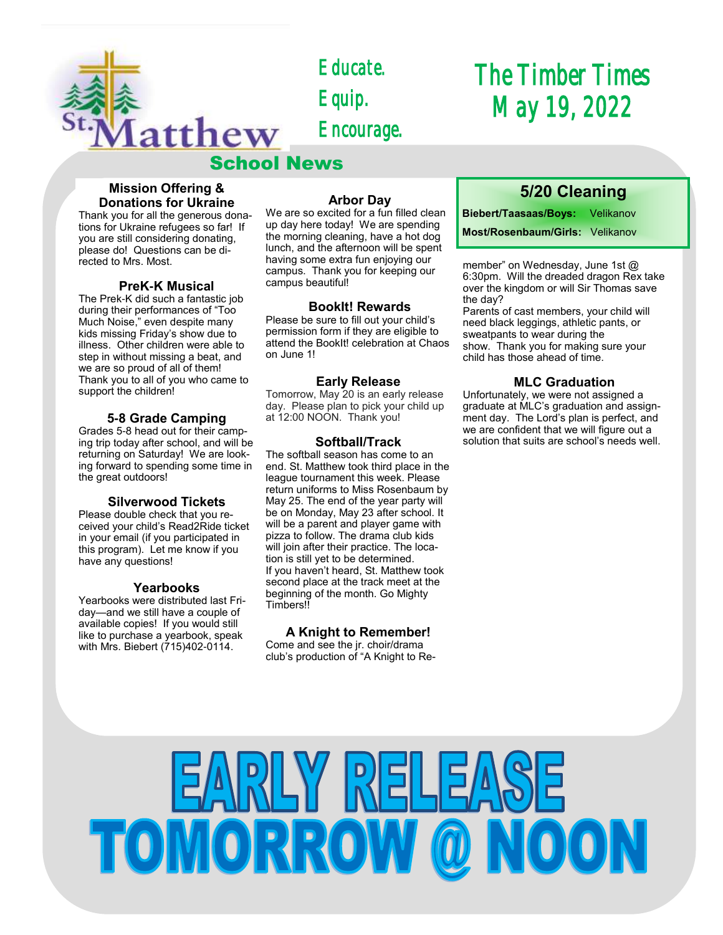

*Educate. Equip. Encourage.* 

## *The Timber Times May 19, 2022*

#### **Mission Offering & Donations for Ukraine**

Thank you for all the generous donations for Ukraine refugees so far! If you are still considering donating, please do! Questions can be directed to Mrs. Most.

#### **PreK-K Musical**

The Prek-K did such a fantastic job during their performances of "Too Much Noise," even despite many kids missing Friday's show due to illness. Other children were able to step in without missing a beat, and we are so proud of all of them! Thank you to all of you who came to support the children!

#### **5-8 Grade Camping**

Grades 5-8 head out for their camping trip today after school, and will be returning on Saturday! We are looking forward to spending some time in the great outdoors!

#### **Silverwood Tickets**

Please double check that you received your child's Read2Ride ticket in your email (if you participated in this program). Let me know if you have any questions!

#### **Yearbooks**

Yearbooks were distributed last Friday—and we still have a couple of available copies! If you would still like to purchase a yearbook, speak with Mrs. Biebert (715)402-0114.

#### **Arbor Day**

We are so excited for a fun filled clean up day here today! We are spending the morning cleaning, have a hot dog lunch, and the afternoon will be spent having some extra fun enjoying our campus. Thank you for keeping our campus beautiful!

#### **BookIt! Rewards**

Please be sure to fill out your child's permission form if they are eligible to attend the BookIt! celebration at Chaos on June 1!

#### **Early Release**

Tomorrow, May 20 is an early release day. Please plan to pick your child up at 12:00 NOON. Thank you!

#### **Softball/Track**

The softball season has come to an end. St. Matthew took third place in the league tournament this week. Please return uniforms to Miss Rosenbaum by May 25. The end of the year party will be on Monday, May 23 after school. It will be a parent and player game with pizza to follow. The drama club kids will join after their practice. The location is still yet to be determined. If you haven't heard, St. Matthew took second place at the track meet at the beginning of the month. Go Mighty Timbers!!

#### **A Knight to Remember!**

Come and see the jr. choir/drama club's production of "A Knight to Re-

#### **5/20 Cleaning**

**Biebert/Taasaas/Boys:** Velikanov **Most/Rosenbaum/Girls:** Velikanov

member" on Wednesday, June 1st @ 6:30pm. Will the dreaded dragon Rex take over the kingdom or will Sir Thomas save the day?

Parents of cast members, your child will need black leggings, athletic pants, or sweatpants to wear during the show. Thank you for making sure your child has those ahead of time.

#### **MLC Graduation**

Unfortunately, we were not assigned a graduate at MLC's graduation and assignment day. The Lord's plan is perfect, and we are confident that we will figure out a solution that suits are school's needs well.

# **RUY RELE**  $\sqrt{1}$ **TOMORROW @ NOON**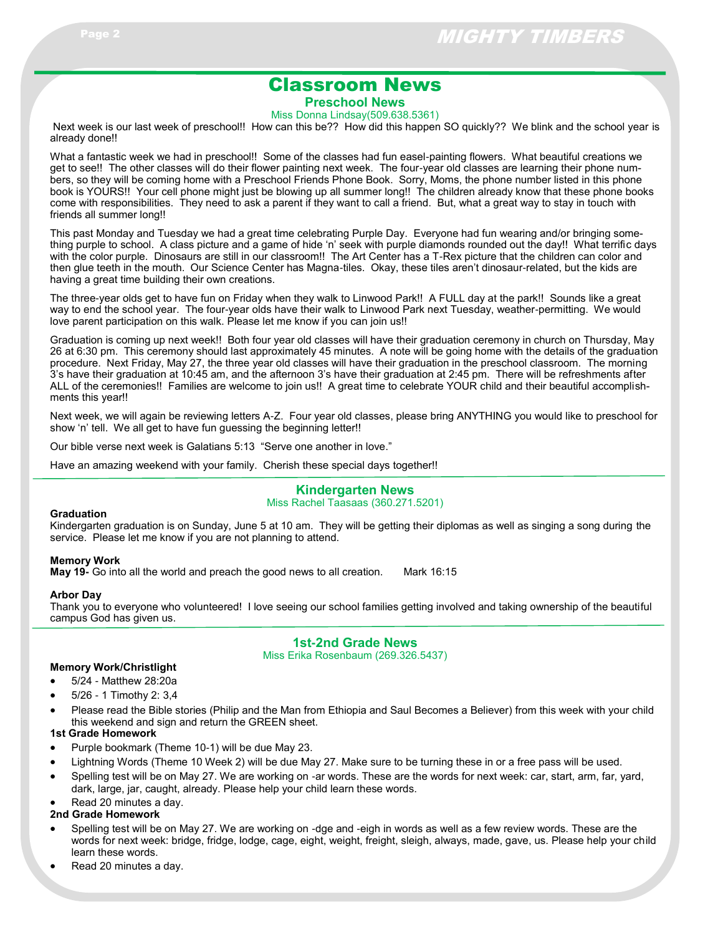### Classroom News

**Preschool News**

Miss Donna Lindsay(509.638.5361)

Next week is our last week of preschool!! How can this be?? How did this happen SO quickly?? We blink and the school year is already done!!

What a fantastic week we had in preschool!! Some of the classes had fun easel-painting flowers. What beautiful creations we get to see!! The other classes will do their flower painting next week. The four-year old classes are learning their phone numbers, so they will be coming home with a Preschool Friends Phone Book. Sorry, Moms, the phone number listed in this phone book is YOURS!! Your cell phone might just be blowing up all summer long!! The children already know that these phone books come with responsibilities. They need to ask a parent if they want to call a friend. But, what a great way to stay in touch with friends all summer long!!

This past Monday and Tuesday we had a great time celebrating Purple Day. Everyone had fun wearing and/or bringing something purple to school. A class picture and a game of hide 'n' seek with purple diamonds rounded out the day!! What terrific days with the color purple. Dinosaurs are still in our classroom!! The Art Center has a T-Rex picture that the children can color and then glue teeth in the mouth. Our Science Center has Magna-tiles. Okay, these tiles aren't dinosaur-related, but the kids are having a great time building their own creations.

The three-year olds get to have fun on Friday when they walk to Linwood Park!! A FULL day at the park!! Sounds like a great way to end the school year. The four-year olds have their walk to Linwood Park next Tuesday, weather-permitting. We would love parent participation on this walk. Please let me know if you can join us!!

Graduation is coming up next week!! Both four year old classes will have their graduation ceremony in church on Thursday, May 26 at 6:30 pm. This ceremony should last approximately 45 minutes. A note will be going home with the details of the graduation procedure. Next Friday, May 27, the three year old classes will have their graduation in the preschool classroom. The morning 3's have their graduation at 10:45 am, and the afternoon 3's have their graduation at 2:45 pm. There will be refreshments after ALL of the ceremonies!! Families are welcome to join us!! A great time to celebrate YOUR child and their beautiful accomplishments this year!!

Next week, we will again be reviewing letters A-Z. Four year old classes, please bring ANYTHING you would like to preschool for show 'n' tell. We all get to have fun guessing the beginning letter!!

Our bible verse next week is Galatians 5:13 "Serve one another in love."

Have an amazing weekend with your family. Cherish these special days together!!

#### **Kindergarten News**

Miss Rachel Taasaas (360.271.5201)

#### **Graduation**

Kindergarten graduation is on Sunday, June 5 at 10 am. They will be getting their diplomas as well as singing a song during the service. Please let me know if you are not planning to attend.

#### **Memory Work**

**May 19-** Go into all the world and preach the good news to all creation. Mark 16:15

#### **Arbor Day**

Thank you to everyone who volunteered! I love seeing our school families getting involved and taking ownership of the beautiful campus God has given us.

#### **1st-2nd Grade News**

Miss Erika Rosenbaum (269.326.5437)

#### **Memory Work/Christlight**

- 5/24 Matthew 28:20a
- 5/26 1 Timothy 2: 3,4
- Please read the Bible stories (Philip and the Man from Ethiopia and Saul Becomes a Believer) from this week with your child this weekend and sign and return the GREEN sheet.

#### **1st Grade Homework**

- Purple bookmark (Theme 10-1) will be due May 23.
- Lightning Words (Theme 10 Week 2) will be due May 27. Make sure to be turning these in or a free pass will be used.
- Spelling test will be on May 27. We are working on -ar words. These are the words for next week: car, start, arm, far, yard, dark, large, jar, caught, already. Please help your child learn these words.

#### Read 20 minutes a day.

#### **2nd Grade Homework**

- Spelling test will be on May 27. We are working on -dge and -eigh in words as well as a few review words. These are the words for next week: bridge, fridge, lodge, cage, eight, weight, freight, sleigh, always, made, gave, us. Please help your child learn these words.
- Read 20 minutes a day.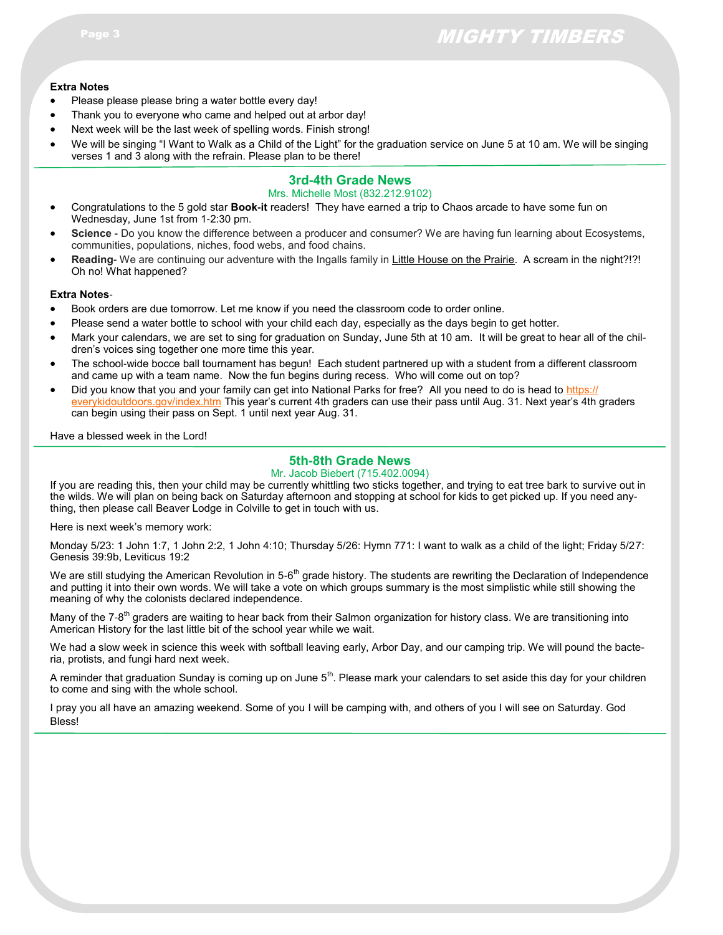## Page 3 MIGHTY TIMBERS

#### **Extra Notes**

- Please please please bring a water bottle every day!
- Thank you to everyone who came and helped out at arbor day!
- Next week will be the last week of spelling words. Finish strong!
- We will be singing "I Want to Walk as a Child of the Light" for the graduation service on June 5 at 10 am. We will be singing verses 1 and 3 along with the refrain. Please plan to be there!

#### **3rd-4th Grade News**

#### Mrs. Michelle Most (832.212.9102)

- Congratulations to the 5 gold star **Book-it** readers! They have earned a trip to Chaos arcade to have some fun on Wednesday, June 1st from 1-2:30 pm.
- **Science -** Do you know the difference between a producer and consumer? We are having fun learning about Ecosystems, communities, populations, niches, food webs, and food chains.
- **Reading-** We are continuing our adventure with the Ingalls family in Little House on the Prairie. A scream in the night?!?! Oh no! What happened?

#### **Extra Notes**-

- Book orders are due tomorrow. Let me know if you need the classroom code to order online.
- Please send a water bottle to school with your child each day, especially as the days begin to get hotter.
- Mark your calendars, we are set to sing for graduation on Sunday, June 5th at 10 am. It will be great to hear all of the children's voices sing together one more time this year.
- The school-wide bocce ball tournament has begun! Each student partnered up with a student from a different classroom and came up with a team name. Now the fun begins during recess. Who will come out on top?
- Did you know that you and your family can get into National Parks for free? All you need to do is head to [https://](https://everykidoutdoors.gov/index.htm) [everykidoutdoors.gov/index.htm](https://everykidoutdoors.gov/index.htm) This year's current 4th graders can use their pass until Aug. 31. Next year's 4th graders can begin using their pass on Sept. 1 until next year Aug. 31.

Have a blessed week in the Lord!

#### **5th-8th Grade News**

#### Mr. Jacob Biebert (715.402.0094)

If you are reading this, then your child may be currently whittling two sticks together, and trying to eat tree bark to survive out in the wilds. We will plan on being back on Saturday afternoon and stopping at school for kids to get picked up. If you need anything, then please call Beaver Lodge in Colville to get in touch with us.

Here is next week's memory work:

Monday 5/23: 1 John 1:7, 1 John 2:2, 1 John 4:10; Thursday 5/26: Hymn 771: I want to walk as a child of the light; Friday 5/27: Genesis 39:9b, Leviticus 19:2

We are still studying the American Revolution in 5-6 $^{\rm th}$  grade history. The students are rewriting the Declaration of Independence and putting it into their own words. We will take a vote on which groups summary is the most simplistic while still showing the meaning of why the colonists declared independence.

Many of the 7-8<sup>th</sup> graders are waiting to hear back from their Salmon organization for history class. We are transitioning into American History for the last little bit of the school year while we wait.

We had a slow week in science this week with softball leaving early, Arbor Day, and our camping trip. We will pound the bacteria, protists, and fungi hard next week.

A reminder that graduation Sunday is coming up on June  $5<sup>th</sup>$ . Please mark your calendars to set aside this day for your children to come and sing with the whole school.

I pray you all have an amazing weekend. Some of you I will be camping with, and others of you I will see on Saturday. God Bless!